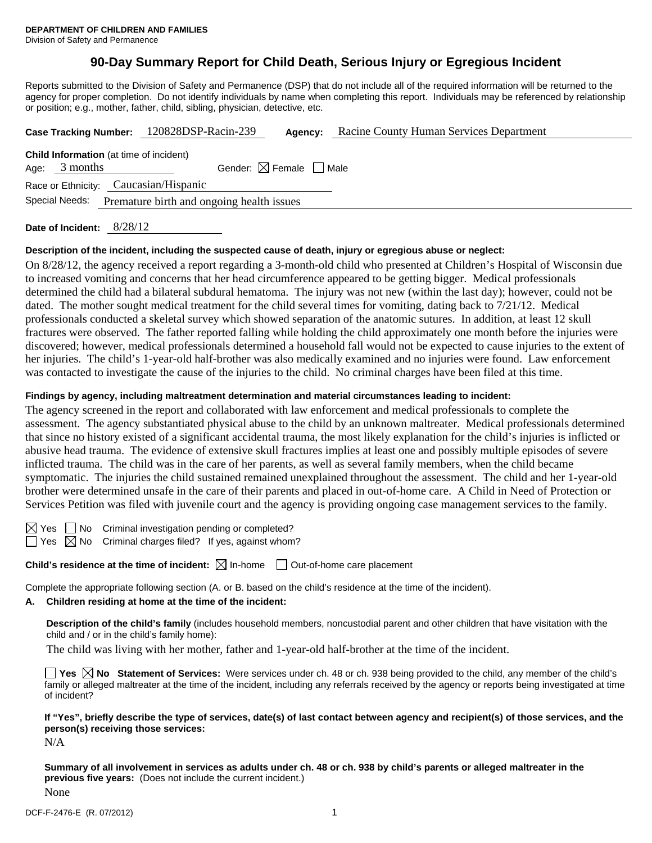# **90-Day Summary Report for Child Death, Serious Injury or Egregious Incident**

Reports submitted to the Division of Safety and Permanence (DSP) that do not include all of the required information will be returned to the agency for proper completion. Do not identify individuals by name when completing this report. Individuals may be referenced by relationship or position; e.g., mother, father, child, sibling, physician, detective, etc.

|                                                                   | Case Tracking Number: 120828DSP-Racin-239 | Agency: | Racine County Human Services Department |  |  |  |
|-------------------------------------------------------------------|-------------------------------------------|---------|-----------------------------------------|--|--|--|
| <b>Child Information</b> (at time of incident)<br>Age: $3$ months | Gender: $\boxtimes$ Female $\Box$ Male    |         |                                         |  |  |  |
| Race or Ethnicity: Caucasian/Hispanic                             |                                           |         |                                         |  |  |  |
| Special Needs:<br>Premature birth and ongoing health issues       |                                           |         |                                         |  |  |  |
|                                                                   |                                           |         |                                         |  |  |  |

**Date of Incident:** 8/28/12

## **Description of the incident, including the suspected cause of death, injury or egregious abuse or neglect:**

On 8/28/12, the agency received a report regarding a 3-month-old child who presented at Children's Hospital of Wisconsin due to increased vomiting and concerns that her head circumference appeared to be getting bigger. Medical professionals determined the child had a bilateral subdural hematoma. The injury was not new (within the last day); however, could not be dated. The mother sought medical treatment for the child several times for vomiting, dating back to 7/21/12. Medical professionals conducted a skeletal survey which showed separation of the anatomic sutures. In addition, at least 12 skull fractures were observed. The father reported falling while holding the child approximately one month before the injuries were discovered; however, medical professionals determined a household fall would not be expected to cause injuries to the extent of her injuries. The child's 1-year-old half-brother was also medically examined and no injuries were found. Law enforcement was contacted to investigate the cause of the injuries to the child. No criminal charges have been filed at this time.

## **Findings by agency, including maltreatment determination and material circumstances leading to incident:**

The agency screened in the report and collaborated with law enforcement and medical professionals to complete the assessment. The agency substantiated physical abuse to the child by an unknown maltreater. Medical professionals determined that since no history existed of a significant accidental trauma, the most likely explanation for the child's injuries is inflicted or abusive head trauma. The evidence of extensive skull fractures implies at least one and possibly multiple episodes of severe inflicted trauma. The child was in the care of her parents, as well as several family members, when the child became symptomatic. The injuries the child sustained remained unexplained throughout the assessment. The child and her 1-year-old brother were determined unsafe in the care of their parents and placed in out-of-home care. A Child in Need of Protection or Services Petition was filed with juvenile court and the agency is providing ongoing case management services to the family.

 $\boxtimes$  Yes  $\Box$  No Criminal investigation pending or completed?  $\Box$  Yes  $\boxtimes$  No Criminal charges filed? If yes, against whom?

**Child's residence at the time of incident:**  $\boxtimes$  In-home  $\Box$  Out-of-home care placement

Complete the appropriate following section (A. or B. based on the child's residence at the time of the incident).

## **A. Children residing at home at the time of the incident:**

**Description of the child's family** (includes household members, noncustodial parent and other children that have visitation with the child and / or in the child's family home):

The child was living with her mother, father and 1-year-old half-brother at the time of the incident.

■ Yes **No** Statement of Services: Were services under ch. 48 or ch. 938 being provided to the child, any member of the child's family or alleged maltreater at the time of the incident, including any referrals received by the agency or reports being investigated at time of incident?

**If "Yes", briefly describe the type of services, date(s) of last contact between agency and recipient(s) of those services, and the person(s) receiving those services:** 

N/A

**Summary of all involvement in services as adults under ch. 48 or ch. 938 by child's parents or alleged maltreater in the previous five years:** (Does not include the current incident.) None